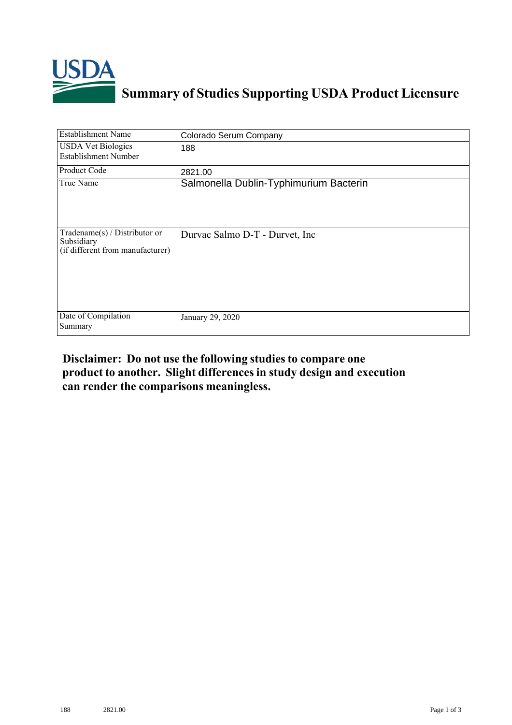

## **Summary of Studies Supporting USDA Product Licensure**

| <b>Establishment Name</b>                                                         | Colorado Serum Company                 |
|-----------------------------------------------------------------------------------|----------------------------------------|
| <b>USDA Vet Biologics</b><br><b>Establishment Number</b>                          | 188                                    |
| Product Code                                                                      | 2821.00                                |
| True Name                                                                         | Salmonella Dublin-Typhimurium Bacterin |
| $Tradename(s) / Distributor$ or<br>Subsidiary<br>(if different from manufacturer) | Durvac Salmo D-T - Durvet, Inc.        |
| Date of Compilation<br>Summary                                                    | January 29, 2020                       |

## **Disclaimer: Do not use the following studiesto compare one product to another. Slight differencesin study design and execution can render the comparisons meaningless.**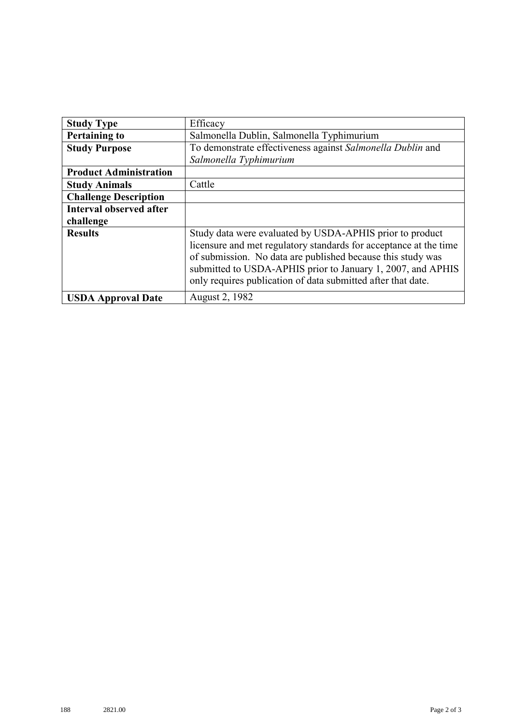| <b>Study Type</b>              | Efficacy                                                          |
|--------------------------------|-------------------------------------------------------------------|
| <b>Pertaining to</b>           | Salmonella Dublin, Salmonella Typhimurium                         |
| <b>Study Purpose</b>           | To demonstrate effectiveness against Salmonella Dublin and        |
|                                | Salmonella Typhimurium                                            |
| <b>Product Administration</b>  |                                                                   |
| <b>Study Animals</b>           | Cattle                                                            |
| <b>Challenge Description</b>   |                                                                   |
| <b>Interval observed after</b> |                                                                   |
| challenge                      |                                                                   |
| <b>Results</b>                 | Study data were evaluated by USDA-APHIS prior to product          |
|                                | licensure and met regulatory standards for acceptance at the time |
|                                | of submission. No data are published because this study was       |
|                                | submitted to USDA-APHIS prior to January 1, 2007, and APHIS       |
|                                | only requires publication of data submitted after that date.      |
| <b>USDA Approval Date</b>      | August 2, 1982                                                    |